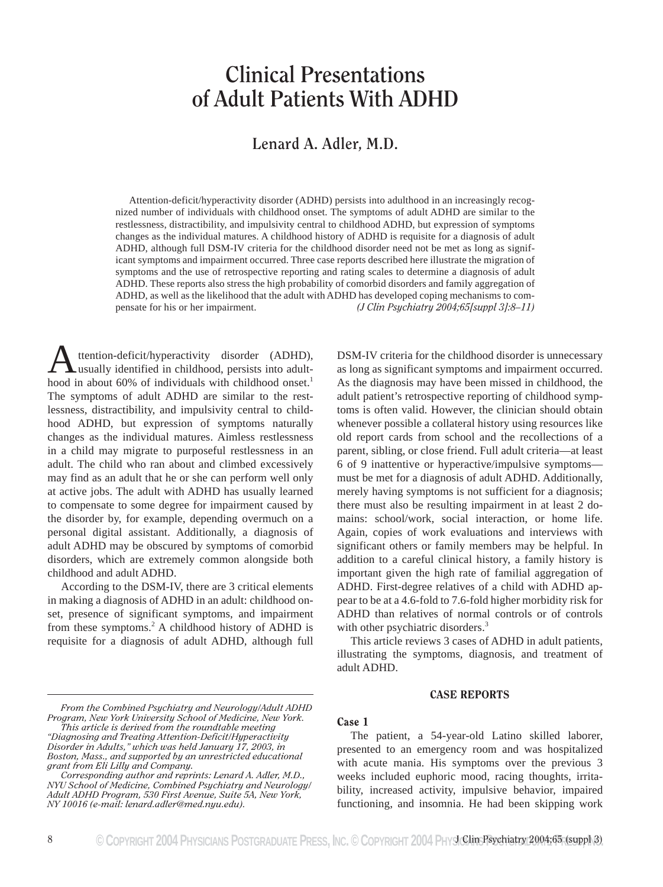# **Clinical Presentations of Adult Patients With ADHD**

# **Lenard A. Adler, M.D.**

Attention-deficit/hyperactivity disorder (ADHD) persists into adulthood in an increasingly recognized number of individuals with childhood onset. The symptoms of adult ADHD are similar to the restlessness, distractibility, and impulsivity central to childhood ADHD, but expression of symptoms changes as the individual matures. A childhood history of ADHD is requisite for a diagnosis of adult ADHD, although full DSM-IV criteria for the childhood disorder need not be met as long as significant symptoms and impairment occurred. Three case reports described here illustrate the migration of symptoms and the use of retrospective reporting and rating scales to determine a diagnosis of adult ADHD. These reports also stress the high probability of comorbid disorders and family aggregation of ADHD, as well as the likelihood that the adult with ADHD has developed coping mechanisms to compensate for his or her impairment. *(J Clin Psychiatry 2004;65[suppl 3]:8–11)*

ttention-deficit/hyperactivity disorder (ADHD), usually identified in childhood, persists into adult-**A** ttention-deficit/hyperactivity disorder (ADHD),<br>hood in about 60% of individuals with childhood onset.<sup>1</sup> The symptoms of adult ADHD are similar to the restlessness, distractibility, and impulsivity central to childhood ADHD, but expression of symptoms naturally changes as the individual matures. Aimless restlessness in a child may migrate to purposeful restlessness in an adult. The child who ran about and climbed excessively may find as an adult that he or she can perform well only at active jobs. The adult with ADHD has usually learned to compensate to some degree for impairment caused by the disorder by, for example, depending overmuch on a personal digital assistant. Additionally, a diagnosis of adult ADHD may be obscured by symptoms of comorbid disorders, which are extremely common alongside both childhood and adult ADHD.

According to the DSM-IV, there are 3 critical elements in making a diagnosis of ADHD in an adult: childhood onset, presence of significant symptoms, and impairment from these symptoms.2 A childhood history of ADHD is requisite for a diagnosis of adult ADHD, although full

DSM-IV criteria for the childhood disorder is unnecessary as long as significant symptoms and impairment occurred. As the diagnosis may have been missed in childhood, the adult patient's retrospective reporting of childhood symptoms is often valid. However, the clinician should obtain whenever possible a collateral history using resources like old report cards from school and the recollections of a parent, sibling, or close friend. Full adult criteria—at least 6 of 9 inattentive or hyperactive/impulsive symptoms must be met for a diagnosis of adult ADHD. Additionally, merely having symptoms is not sufficient for a diagnosis; there must also be resulting impairment in at least 2 domains: school/work, social interaction, or home life. Again, copies of work evaluations and interviews with significant others or family members may be helpful. In addition to a careful clinical history, a family history is important given the high rate of familial aggregation of ADHD. First-degree relatives of a child with ADHD appear to be at a 4.6-fold to 7.6-fold higher morbidity risk for ADHD than relatives of normal controls or of controls with other psychiatric disorders.<sup>3</sup>

This article reviews 3 cases of ADHD in adult patients, illustrating the symptoms, diagnosis, and treatment of adult ADHD.

#### CASE REPORTS

#### Case 1

The patient, a 54-year-old Latino skilled laborer, presented to an emergency room and was hospitalized with acute mania. His symptoms over the previous 3 weeks included euphoric mood, racing thoughts, irritability, increased activity, impulsive behavior, impaired functioning, and insomnia. He had been skipping work

*From the Combined Psychiatry and Neurology/Adult ADHD Program, New York University School of Medicine, New York.*

*This article is derived from the roundtable meeting "Diagnosing and Treating Attention-Deficit/Hyperactivity Disorder in Adults," which was held January 17, 2003, in Boston, Mass., and supported by an unrestricted educational grant from Eli Lilly and Company.*

*Corresponding author and reprints: Lenard A. Adler, M.D., NYU School of Medicine, Combined Psychiatry and Neurology/ Adult ADHD Program, 530 First Avenue, Suite 5A, New York, NY 10016 (e-mail: lenard.adler@med.nyu.edu).*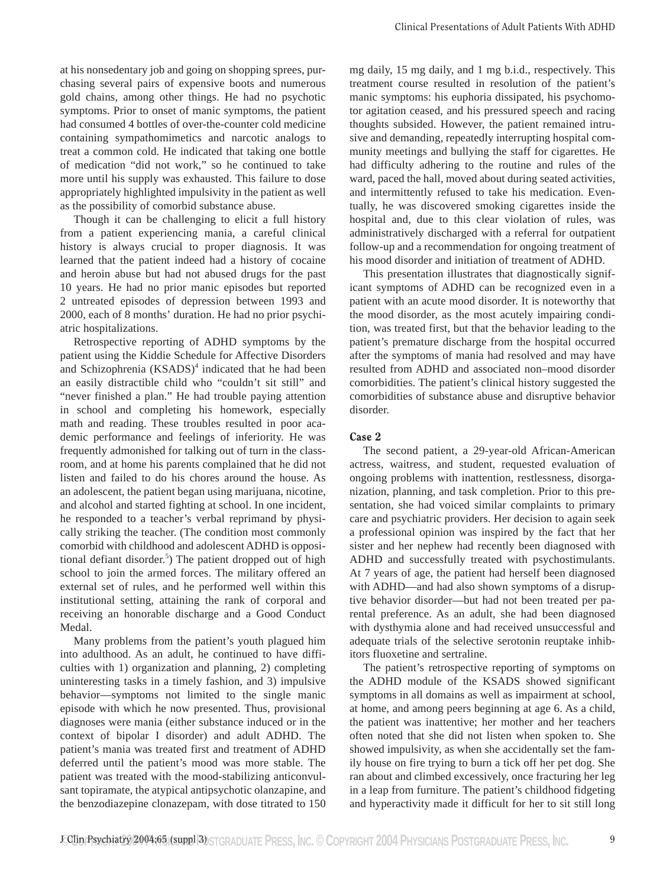at his nonsedentary job and going on shopping sprees, purchasing several pairs of expensive boots and numerous gold chains, among other things. He had no psychotic symptoms. Prior to onset of manic symptoms, the patient had consumed 4 bottles of over-the-counter cold medicine containing sympathomimetics and narcotic analogs to treat a common cold. He indicated that taking one bottle of medication "did not work," so he continued to take more until his supply was exhausted. This failure to dose appropriately highlighted impulsivity in the patient as well as the possibility of comorbid substance abuse.

Though it can be challenging to elicit a full history from a patient experiencing mania, a careful clinical history is always crucial to proper diagnosis. It was learned that the patient indeed had a history of cocaine and heroin abuse but had not abused drugs for the past 10 years. He had no prior manic episodes but reported 2 untreated episodes of depression between 1993 and 2000, each of 8 months' duration. He had no prior psychiatric hospitalizations.

Retrospective reporting of ADHD symptoms by the patient using the Kiddie Schedule for Affective Disorders and Schizophrenia  $(KSADS)^4$  indicated that he had been an easily distractible child who "couldn't sit still" and "never finished a plan." He had trouble paying attention in school and completing his homework, especially math and reading. These troubles resulted in poor academic performance and feelings of inferiority. He was frequently admonished for talking out of turn in the classroom, and at home his parents complained that he did not listen and failed to do his chores around the house. As an adolescent, the patient began using marijuana, nicotine, and alcohol and started fighting at school. In one incident, he responded to a teacher's verbal reprimand by physically striking the teacher. (The condition most commonly comorbid with childhood and adolescent ADHD is oppositional defiant disorder.<sup>5</sup>) The patient dropped out of high school to join the armed forces. The military offered an external set of rules, and he performed well within this institutional setting, attaining the rank of corporal and receiving an honorable discharge and a Good Conduct Medal.

Many problems from the patient's youth plagued him into adulthood. As an adult, he continued to have difficulties with 1) organization and planning, 2) completing uninteresting tasks in a timely fashion, and 3) impulsive behavior—symptoms not limited to the single manic episode with which he now presented. Thus, provisional diagnoses were mania (either substance induced or in the context of bipolar I disorder) and adult ADHD. The patient's mania was treated first and treatment of ADHD deferred until the patient's mood was more stable. The patient was treated with the mood-stabilizing anticonvulsant topiramate, the atypical antipsychotic olanzapine, and the benzodiazepine clonazepam, with dose titrated to 150 mg daily, 15 mg daily, and 1 mg b.i.d., respectively. This treatment course resulted in resolution of the patient's manic symptoms: his euphoria dissipated, his psychomotor agitation ceased, and his pressured speech and racing thoughts subsided. However, the patient remained intrusive and demanding, repeatedly interrupting hospital community meetings and bullying the staff for cigarettes. He had difficulty adhering to the routine and rules of the ward, paced the hall, moved about during seated activities, and intermittently refused to take his medication. Eventually, he was discovered smoking cigarettes inside the hospital and, due to this clear violation of rules, was administratively discharged with a referral for outpatient follow-up and a recommendation for ongoing treatment of his mood disorder and initiation of treatment of ADHD.

This presentation illustrates that diagnostically significant symptoms of ADHD can be recognized even in a patient with an acute mood disorder. It is noteworthy that the mood disorder, as the most acutely impairing condition, was treated first, but that the behavior leading to the patient's premature discharge from the hospital occurred after the symptoms of mania had resolved and may have resulted from ADHD and associated non–mood disorder comorbidities. The patient's clinical history suggested the comorbidities of substance abuse and disruptive behavior disorder.

## Case 2

The second patient, a 29-year-old African-American actress, waitress, and student, requested evaluation of ongoing problems with inattention, restlessness, disorganization, planning, and task completion. Prior to this presentation, she had voiced similar complaints to primary care and psychiatric providers. Her decision to again seek a professional opinion was inspired by the fact that her sister and her nephew had recently been diagnosed with ADHD and successfully treated with psychostimulants. At 7 years of age, the patient had herself been diagnosed with ADHD—and had also shown symptoms of a disruptive behavior disorder—but had not been treated per parental preference. As an adult, she had been diagnosed with dysthymia alone and had received unsuccessful and adequate trials of the selective serotonin reuptake inhibitors fluoxetine and sertraline.

The patient's retrospective reporting of symptoms on the ADHD module of the KSADS showed significant symptoms in all domains as well as impairment at school, at home, and among peers beginning at age 6. As a child, the patient was inattentive; her mother and her teachers often noted that she did not listen when spoken to. She showed impulsivity, as when she accidentally set the family house on fire trying to burn a tick off her pet dog. She ran about and climbed excessively, once fracturing her leg in a leap from furniture. The patient's childhood fidgeting and hyperactivity made it difficult for her to sit still long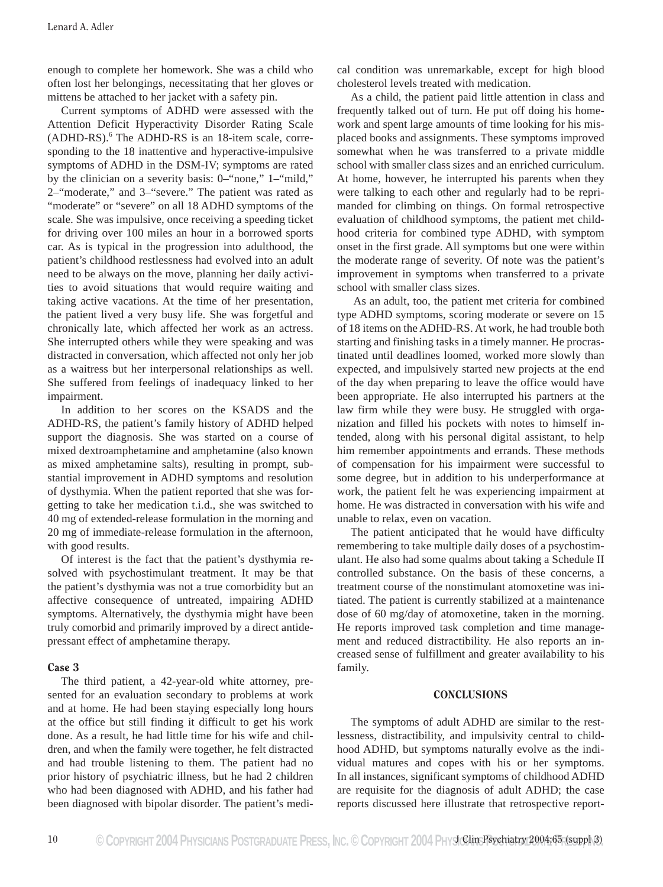enough to complete her homework. She was a child who often lost her belongings, necessitating that her gloves or mittens be attached to her jacket with a safety pin.

Current symptoms of ADHD were assessed with the Attention Deficit Hyperactivity Disorder Rating Scale (ADHD-RS).6 The ADHD-RS is an 18-item scale, corresponding to the 18 inattentive and hyperactive-impulsive symptoms of ADHD in the DSM-IV; symptoms are rated by the clinician on a severity basis: 0–"none," 1–"mild," 2–"moderate," and 3–"severe." The patient was rated as "moderate" or "severe" on all 18 ADHD symptoms of the scale. She was impulsive, once receiving a speeding ticket for driving over 100 miles an hour in a borrowed sports car. As is typical in the progression into adulthood, the patient's childhood restlessness had evolved into an adult need to be always on the move, planning her daily activities to avoid situations that would require waiting and taking active vacations. At the time of her presentation, the patient lived a very busy life. She was forgetful and chronically late, which affected her work as an actress. She interrupted others while they were speaking and was distracted in conversation, which affected not only her job as a waitress but her interpersonal relationships as well. She suffered from feelings of inadequacy linked to her impairment.

In addition to her scores on the KSADS and the ADHD-RS, the patient's family history of ADHD helped support the diagnosis. She was started on a course of mixed dextroamphetamine and amphetamine (also known as mixed amphetamine salts), resulting in prompt, substantial improvement in ADHD symptoms and resolution of dysthymia. When the patient reported that she was forgetting to take her medication t.i.d., she was switched to 40 mg of extended-release formulation in the morning and 20 mg of immediate-release formulation in the afternoon, with good results.

Of interest is the fact that the patient's dysthymia resolved with psychostimulant treatment. It may be that the patient's dysthymia was not a true comorbidity but an affective consequence of untreated, impairing ADHD symptoms. Alternatively, the dysthymia might have been truly comorbid and primarily improved by a direct antidepressant effect of amphetamine therapy.

### Case 3

The third patient, a 42-year-old white attorney, presented for an evaluation secondary to problems at work and at home. He had been staying especially long hours at the office but still finding it difficult to get his work done. As a result, he had little time for his wife and children, and when the family were together, he felt distracted and had trouble listening to them. The patient had no prior history of psychiatric illness, but he had 2 children who had been diagnosed with ADHD, and his father had been diagnosed with bipolar disorder. The patient's medi-

cal condition was unremarkable, except for high blood cholesterol levels treated with medication.

As a child, the patient paid little attention in class and frequently talked out of turn. He put off doing his homework and spent large amounts of time looking for his misplaced books and assignments. These symptoms improved somewhat when he was transferred to a private middle school with smaller class sizes and an enriched curriculum. At home, however, he interrupted his parents when they were talking to each other and regularly had to be reprimanded for climbing on things. On formal retrospective evaluation of childhood symptoms, the patient met childhood criteria for combined type ADHD, with symptom onset in the first grade. All symptoms but one were within the moderate range of severity. Of note was the patient's improvement in symptoms when transferred to a private school with smaller class sizes.

 As an adult, too, the patient met criteria for combined type ADHD symptoms, scoring moderate or severe on 15 of 18 items on the ADHD-RS. At work, he had trouble both starting and finishing tasks in a timely manner. He procrastinated until deadlines loomed, worked more slowly than expected, and impulsively started new projects at the end of the day when preparing to leave the office would have been appropriate. He also interrupted his partners at the law firm while they were busy. He struggled with organization and filled his pockets with notes to himself intended, along with his personal digital assistant, to help him remember appointments and errands. These methods of compensation for his impairment were successful to some degree, but in addition to his underperformance at work, the patient felt he was experiencing impairment at home. He was distracted in conversation with his wife and unable to relax, even on vacation.

The patient anticipated that he would have difficulty remembering to take multiple daily doses of a psychostimulant. He also had some qualms about taking a Schedule II controlled substance. On the basis of these concerns, a treatment course of the nonstimulant atomoxetine was initiated. The patient is currently stabilized at a maintenance dose of 60 mg/day of atomoxetine, taken in the morning. He reports improved task completion and time management and reduced distractibility. He also reports an increased sense of fulfillment and greater availability to his family.

#### CONCLUSIONS

The symptoms of adult ADHD are similar to the restlessness, distractibility, and impulsivity central to childhood ADHD, but symptoms naturally evolve as the individual matures and copes with his or her symptoms. In all instances, significant symptoms of childhood ADHD are requisite for the diagnosis of adult ADHD; the case reports discussed here illustrate that retrospective report